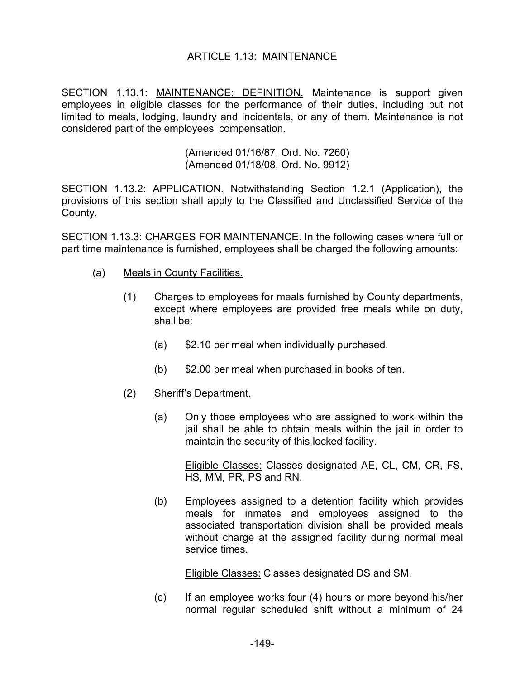### ARTICLE 1.13: MAINTENANCE

SECTION 1.13.1: MAINTENANCE: DEFINITION. Maintenance is support given employees in eligible classes for the performance of their duties, including but not limited to meals, lodging, laundry and incidentals, or any of them. Maintenance is not considered part of the employees' compensation.

> (Amended 01/16/87, Ord. No. 7260) (Amended 01/18/08, Ord. No. 9912)

SECTION 1.13.2: APPLICATION. Notwithstanding Section 1.2.1 (Application), the provisions of this section shall apply to the Classified and Unclassified Service of the County.

SECTION 1.13.3: CHARGES FOR MAINTENANCE. In the following cases where full or part time maintenance is furnished, employees shall be charged the following amounts:

- (a) Meals in County Facilities.
	- (1) Charges to employees for meals furnished by County departments, except where employees are provided free meals while on duty, shall be:
		- (a) \$2.10 per meal when individually purchased.
		- (b) \$2.00 per meal when purchased in books of ten.
	- (2) Sheriff's Department.
		- (a) Only those employees who are assigned to work within the jail shall be able to obtain meals within the jail in order to maintain the security of this locked facility.

Eligible Classes: Classes designated AE, CL, CM, CR, FS, HS, MM, PR, PS and RN.

(b) Employees assigned to a detention facility which provides meals for inmates and employees assigned to the associated transportation division shall be provided meals without charge at the assigned facility during normal meal service times.

Eligible Classes: Classes designated DS and SM.

(c) If an employee works four (4) hours or more beyond his/her normal regular scheduled shift without a minimum of 24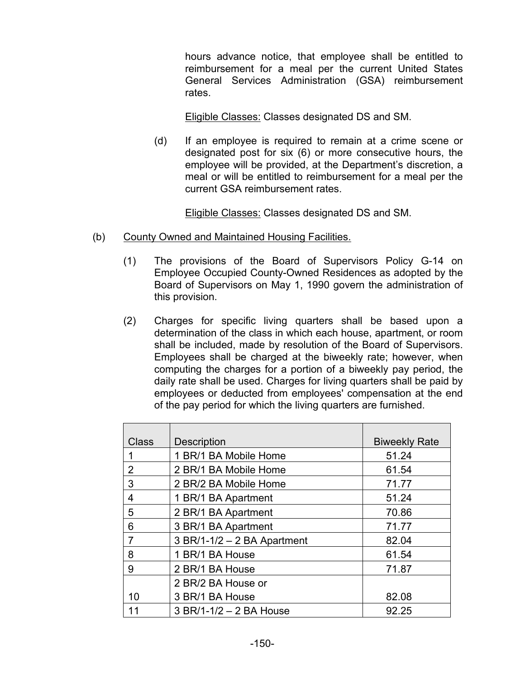hours advance notice, that employee shall be entitled to reimbursement for a meal per the current United States General Services Administration (GSA) reimbursement rates.

Eligible Classes: Classes designated DS and SM.

(d) If an employee is required to remain at a crime scene or designated post for six (6) or more consecutive hours, the employee will be provided, at the Department's discretion, a meal or will be entitled to reimbursement for a meal per the current GSA reimbursement rates.

Eligible Classes: Classes designated DS and SM.

- (b) County Owned and Maintained Housing Facilities.
	- (1) The provisions of the Board of Supervisors Policy G-14 on Employee Occupied County-Owned Residences as adopted by the Board of Supervisors on May 1, 1990 govern the administration of this provision.
	- (2) Charges for specific living quarters shall be based upon a determination of the class in which each house, apartment, or room shall be included, made by resolution of the Board of Supervisors. Employees shall be charged at the biweekly rate; however, when computing the charges for a portion of a biweekly pay period, the daily rate shall be used. Charges for living quarters shall be paid by employees or deducted from employees' compensation at the end of the pay period for which the living quarters are furnished.

| <b>Class</b>   | <b>Description</b>            | <b>Biweekly Rate</b> |
|----------------|-------------------------------|----------------------|
| 1              | 1 BR/1 BA Mobile Home         | 51.24                |
| 2              | 2 BR/1 BA Mobile Home         | 61.54                |
| 3              | 2 BR/2 BA Mobile Home         | 71.77                |
| 4              | 1 BR/1 BA Apartment           | 51.24                |
| 5              | 2 BR/1 BA Apartment           | 70.86                |
| 6              | 3 BR/1 BA Apartment           | 71.77                |
| $\overline{7}$ | $3 BR/1-1/2 - 2 BA$ Apartment | 82.04                |
| 8              | 1 BR/1 BA House               | 61.54                |
| 9              | 2 BR/1 BA House               | 71.87                |
|                | 2 BR/2 BA House or            |                      |
| 10             | 3 BR/1 BA House               | 82.08                |
| 11             | 3 BR/1-1/2 - 2 BA House       | 92.25                |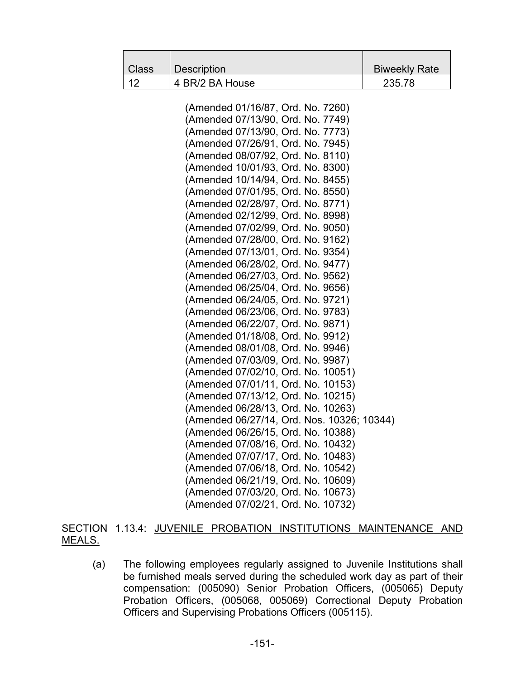| <b>Class</b> | <b>Description</b>                                                     | <b>Biweekly Rate</b> |
|--------------|------------------------------------------------------------------------|----------------------|
| 12           | 4 BR/2 BA House                                                        | 235.78               |
|              |                                                                        |                      |
|              | (Amended 01/16/87, Ord. No. 7260)                                      |                      |
|              | (Amended 07/13/90, Ord. No. 7749)                                      |                      |
|              | (Amended 07/13/90, Ord. No. 7773)                                      |                      |
|              | (Amended 07/26/91, Ord. No. 7945)                                      |                      |
|              | (Amended 08/07/92, Ord. No. 8110)                                      |                      |
|              | (Amended 10/01/93, Ord. No. 8300)                                      |                      |
|              | (Amended 10/14/94, Ord. No. 8455)                                      |                      |
|              | (Amended 07/01/95, Ord. No. 8550)                                      |                      |
|              | (Amended 02/28/97, Ord. No. 8771)                                      |                      |
|              | (Amended 02/12/99, Ord. No. 8998)                                      |                      |
|              | (Amended 07/02/99, Ord. No. 9050)                                      |                      |
|              | (Amended 07/28/00, Ord. No. 9162)                                      |                      |
|              | (Amended 07/13/01, Ord. No. 9354)                                      |                      |
|              | (Amended 06/28/02, Ord. No. 9477)                                      |                      |
|              | (Amended 06/27/03, Ord. No. 9562)                                      |                      |
|              | (Amended 06/25/04, Ord. No. 9656)                                      |                      |
|              | (Amended 06/24/05, Ord. No. 9721)<br>(Amended 06/23/06, Ord. No. 9783) |                      |
|              | (Amended 06/22/07, Ord. No. 9871)                                      |                      |
|              | (Amended 01/18/08, Ord. No. 9912)                                      |                      |
|              | (Amended 08/01/08, Ord. No. 9946)                                      |                      |
|              | (Amended 07/03/09, Ord. No. 9987)                                      |                      |
|              | (Amended 07/02/10, Ord. No. 10051)                                     |                      |
|              | (Amended 07/01/11, Ord. No. 10153)                                     |                      |
|              | (Amended 07/13/12, Ord. No. 10215)                                     |                      |
|              | (Amended 06/28/13, Ord. No. 10263)                                     |                      |
|              | (Amended 06/27/14, Ord. Nos. 10326; 10344)                             |                      |
|              | (Amended 06/26/15, Ord. No. 10388)                                     |                      |
|              | (Amended 07/08/16, Ord. No. 10432)                                     |                      |
|              | (Amended 07/07/17, Ord. No. 10483)                                     |                      |
|              | (Amended 07/06/18, Ord. No. 10542)                                     |                      |
|              | (Amended 06/21/19, Ord. No. 10609)                                     |                      |
|              | (Amended 07/03/20, Ord. No. 10673)                                     |                      |
|              | (Amended 07/02/21, Ord. No. 10732)                                     |                      |

# SECTION 1.13.4: JUVENILE PROBATION INSTITUTIONS MAINTENANCE AND MEALS.

(a) The following employees regularly assigned to Juvenile Institutions shall be furnished meals served during the scheduled work day as part of their compensation: (005090) Senior Probation Officers, (005065) Deputy Probation Officers, (005068, 005069) Correctional Deputy Probation Officers and Supervising Probations Officers (005115).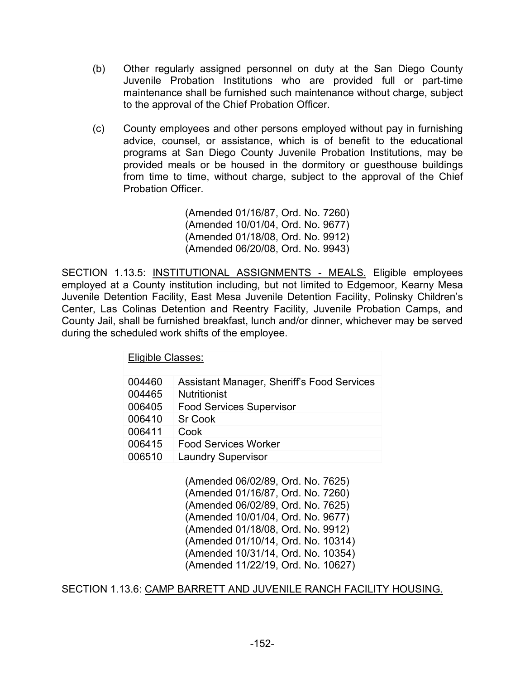- (b) Other regularly assigned personnel on duty at the San Diego County Juvenile Probation Institutions who are provided full or part-time maintenance shall be furnished such maintenance without charge, subject to the approval of the Chief Probation Officer.
- (c) County employees and other persons employed without pay in furnishing advice, counsel, or assistance, which is of benefit to the educational programs at San Diego County Juvenile Probation Institutions, may be provided meals or be housed in the dormitory or guesthouse buildings from time to time, without charge, subject to the approval of the Chief Probation Officer.

(Amended 01/16/87, Ord. No. 7260) (Amended 10/01/04, Ord. No. 9677) (Amended 01/18/08, Ord. No. 9912) (Amended 06/20/08, Ord. No. 9943)

SECTION 1.13.5: INSTITUTIONAL ASSIGNMENTS - MEALS. Eligible employees employed at a County institution including, but not limited to Edgemoor, Kearny Mesa Juvenile Detention Facility, East Mesa Juvenile Detention Facility, Polinsky Children's Center, Las Colinas Detention and Reentry Facility, Juvenile Probation Camps, and County Jail, shall be furnished breakfast, lunch and/or dinner, whichever may be served during the scheduled work shifts of the employee.

Eligible Classes:

| 004460 | Assistant Manager, Sheriff's Food Services |
|--------|--------------------------------------------|
| 004465 | <b>Nutritionist</b>                        |
| 006405 | <b>Food Services Supervisor</b>            |
| 006410 | <b>Sr Cook</b>                             |
| 006411 | Cook                                       |
| 006415 | <b>Food Services Worker</b>                |
| 006510 | <b>Laundry Supervisor</b>                  |
|        |                                            |

(Amended 06/02/89, Ord. No. 7625) (Amended 01/16/87, Ord. No. 7260) (Amended 06/02/89, Ord. No. 7625) (Amended 10/01/04, Ord. No. 9677) (Amended 01/18/08, Ord. No. 9912) (Amended 01/10/14, Ord. No. 10314) (Amended 10/31/14, Ord. No. 10354) (Amended 11/22/19, Ord. No. 10627)

SECTION 1.13.6: CAMP BARRETT AND JUVENILE RANCH FACILITY HOUSING.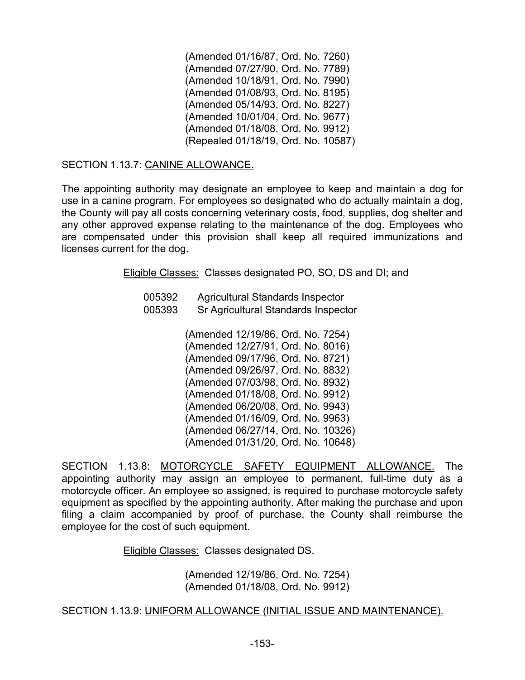(Amended 01/16/87, Ord. No. 7260) (Amended 07/27/90, Ord. No. 7789) (Amended 10/18/91, Ord. No. 7990) (Amended 01/08/93, Ord. No. 8195) (Amended 05/14/93, Ord. No. 8227) (Amended 10/01/04, Ord. No. 9677) (Amended 01/18/08, Ord. No. 9912) (Repealed 01/18/19, Ord. No. 10587)

# SECTION 1.13.7: CANINE ALLOWANCE.

The appointing authority may designate an employee to keep and maintain a dog for use in a canine program. For employees so designated who do actually maintain a dog, the County will pay all costs concerning veterinary costs, food, supplies, dog shelter and any other approved expense relating to the maintenance of the dog. Employees who are compensated under this provision shall keep all required immunizations and licenses current for the dog.

Eligible Classes: Classes designated PO, SO, DS and DI; and

| 005392 | <b>Agricultural Standards Inspector</b>    |
|--------|--------------------------------------------|
| 005393 | <b>Sr Agricultural Standards Inspector</b> |

(Amended 12/19/86, Ord. No. 7254) (Amended 12/27/91, Ord. No. 8016) (Amended 09/17/96, Ord. No. 8721) (Amended 09/26/97, Ord. No. 8832) (Amended 07/03/98, Ord. No. 8932) (Amended 01/18/08, Ord. No. 9912) (Amended 06/20/08, Ord. No. 9943) (Amended 01/16/09, Ord. No. 9963) (Amended 06/27/14, Ord. No. 10326) (Amended 01/31/20, Ord. No. 10648)

SECTION 1.13.8: MOTORCYCLE SAFETY EQUIPMENT ALLOWANCE. The appointing authority may assign an employee to permanent, full-time duty as a motorcycle officer. An employee so assigned, is required to purchase motorcycle safety equipment as specified by the appointing authority. After making the purchase and upon filing a claim accompanied by proof of purchase, the County shall reimburse the employee for the cost of such equipment.

Eligible Classes: Classes designated DS.

(Amended 12/19/86, Ord. No. 7254) (Amended 01/18/08, Ord. No. 9912)

#### SECTION 1.13.9: UNIFORM ALLOWANCE (INITIAL ISSUE AND MAINTENANCE).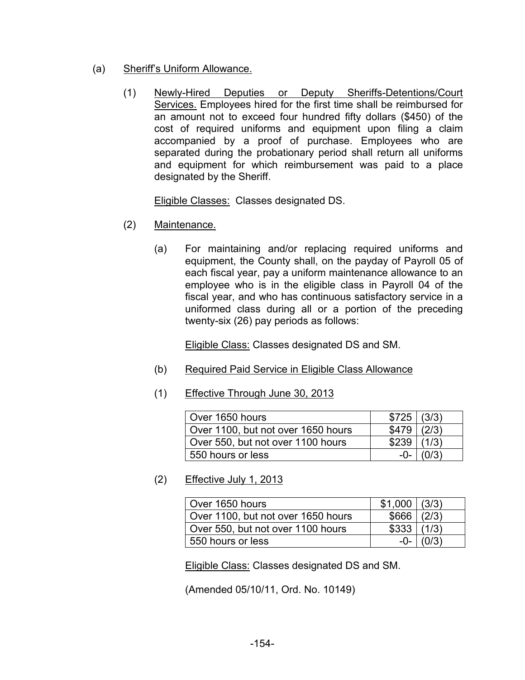- (a) Sheriff's Uniform Allowance.
	- (1) Newly-Hired Deputies or Deputy Sheriffs-Detentions/Court Services. Employees hired for the first time shall be reimbursed for an amount not to exceed four hundred fifty dollars (\$450) of the cost of required uniforms and equipment upon filing a claim accompanied by a proof of purchase. Employees who are separated during the probationary period shall return all uniforms and equipment for which reimbursement was paid to a place designated by the Sheriff.

Eligible Classes: Classes designated DS.

- (2) Maintenance.
	- (a) For maintaining and/or replacing required uniforms and equipment, the County shall, on the payday of Payroll 05 of each fiscal year, pay a uniform maintenance allowance to an employee who is in the eligible class in Payroll 04 of the fiscal year, and who has continuous satisfactory service in a uniformed class during all or a portion of the preceding twenty-six (26) pay periods as follows:

Eligible Class: Classes designated DS and SM.

- (b) Required Paid Service in Eligible Class Allowance
- (1) Effective Through June 30, 2013

| Over 1650 hours                    | \$725 (3/3) |       |
|------------------------------------|-------------|-------|
| Over 1100, but not over 1650 hours | \$479       | (2/3) |
| Over 550, but not over 1100 hours  | \$239       | (1/3) |
| 550 hours or less                  | -0-         |       |

(2) Effective July 1, 2013

| Over 1650 hours                    | \$1,000 (3/3) |             |
|------------------------------------|---------------|-------------|
| Over 1100, but not over 1650 hours | \$666   (2/3) |             |
| Over 550, but not over 1100 hours  | \$333   (1/3) |             |
| 550 hours or less                  |               | $-0-$ (0/3) |

Eligible Class: Classes designated DS and SM.

(Amended 05/10/11, Ord. No. 10149)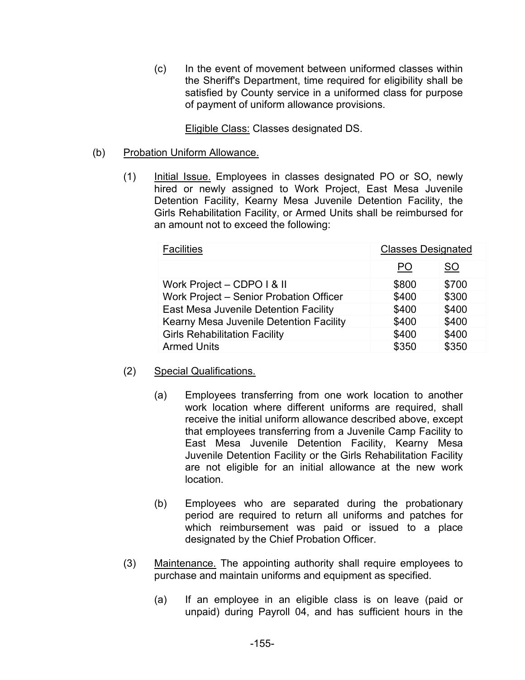(c) In the event of movement between uniformed classes within the Sheriff's Department, time required for eligibility shall be satisfied by County service in a uniformed class for purpose of payment of uniform allowance provisions.

Eligible Class: Classes designated DS.

### (b) Probation Uniform Allowance.

(1) Initial Issue. Employees in classes designated PO or SO, newly hired or newly assigned to Work Project, East Mesa Juvenile Detention Facility, Kearny Mesa Juvenile Detention Facility, the Girls Rehabilitation Facility, or Armed Units shall be reimbursed for an amount not to exceed the following:

| <b>Facilities</b>                       | <b>Classes Designated</b> |           |
|-----------------------------------------|---------------------------|-----------|
|                                         | PO                        | <b>SO</b> |
| Work Project - CDPO I & II              | \$800                     | \$700     |
| Work Project - Senior Probation Officer | \$400                     | \$300     |
| East Mesa Juvenile Detention Facility   | \$400                     | \$400     |
| Kearny Mesa Juvenile Detention Facility | \$400                     | \$400     |
| <b>Girls Rehabilitation Facility</b>    | \$400                     | \$400     |
| <b>Armed Units</b>                      | \$350                     | \$350     |

- (2) Special Qualifications.
	- (a) Employees transferring from one work location to another work location where different uniforms are required, shall receive the initial uniform allowance described above, except that employees transferring from a Juvenile Camp Facility to East Mesa Juvenile Detention Facility, Kearny Mesa Juvenile Detention Facility or the Girls Rehabilitation Facility are not eligible for an initial allowance at the new work location.
	- (b) Employees who are separated during the probationary period are required to return all uniforms and patches for which reimbursement was paid or issued to a place designated by the Chief Probation Officer.
- (3) Maintenance. The appointing authority shall require employees to purchase and maintain uniforms and equipment as specified.
	- (a) If an employee in an eligible class is on leave (paid or unpaid) during Payroll 04, and has sufficient hours in the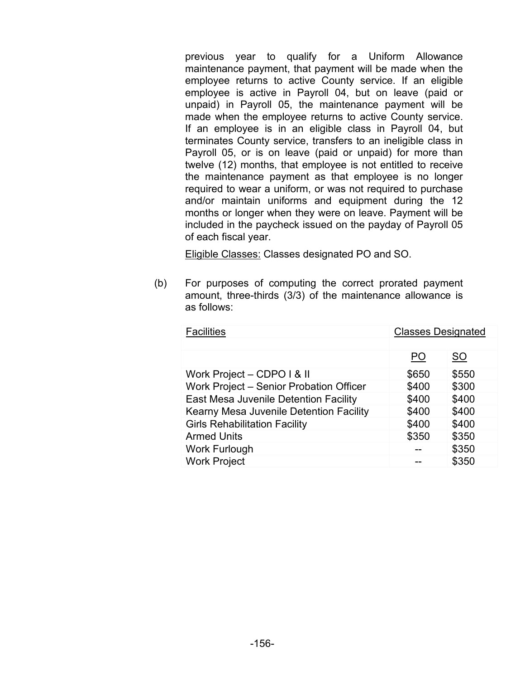previous year to qualify for a Uniform Allowance maintenance payment, that payment will be made when the employee returns to active County service. If an eligible employee is active in Payroll 04, but on leave (paid or unpaid) in Payroll 05, the maintenance payment will be made when the employee returns to active County service. If an employee is in an eligible class in Payroll 04, but terminates County service, transfers to an ineligible class in Payroll 05, or is on leave (paid or unpaid) for more than twelve (12) months, that employee is not entitled to receive the maintenance payment as that employee is no longer required to wear a uniform, or was not required to purchase and/or maintain uniforms and equipment during the 12 months or longer when they were on leave. Payment will be included in the paycheck issued on the payday of Payroll 05 of each fiscal year.

Eligible Classes: Classes designated PO and SO.

(b) For purposes of computing the correct prorated payment amount, three-thirds (3/3) of the maintenance allowance is as follows:

| <b>Facilities</b><br><b>Classes Designated</b> |       |       |
|------------------------------------------------|-------|-------|
|                                                |       |       |
|                                                | PO    | SO    |
| Work Project - CDPO I & II                     | \$650 | \$550 |
| Work Project - Senior Probation Officer        | \$400 | \$300 |
| East Mesa Juvenile Detention Facility          | \$400 | \$400 |
| Kearny Mesa Juvenile Detention Facility        | \$400 | \$400 |
| <b>Girls Rehabilitation Facility</b>           | \$400 | \$400 |
| <b>Armed Units</b>                             | \$350 | \$350 |
| <b>Work Furlough</b>                           |       | \$350 |
| <b>Work Project</b>                            |       | \$350 |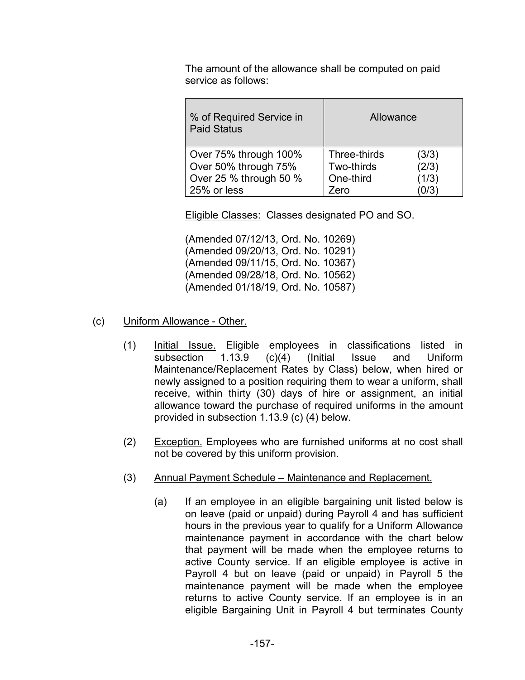The amount of the allowance shall be computed on paid service as follows:

| % of Required Service in<br><b>Paid Status</b> | Allowance             |
|------------------------------------------------|-----------------------|
| Over 75% through 100%                          | Three-thirds<br>(3/3) |
| Over 50% through 75%                           | (2/3)<br>Two-thirds   |
| Over 25 % through 50 %                         | (1/3)<br>One-third    |
| 25% or less                                    | 0/3<br>Zero           |

Eligible Classes: Classes designated PO and SO.

(Amended 07/12/13, Ord. No. 10269) (Amended 09/20/13, Ord. No. 10291) (Amended 09/11/15, Ord. No. 10367) (Amended 09/28/18, Ord. No. 10562) (Amended 01/18/19, Ord. No. 10587)

# (c) Uniform Allowance - Other.

- (1) Initial Issue. Eligible employees in classifications listed in subsection 1.13.9 (c)(4) (Initial Issue and Uniform Maintenance/Replacement Rates by Class) below, when hired or newly assigned to a position requiring them to wear a uniform, shall receive, within thirty (30) days of hire or assignment, an initial allowance toward the purchase of required uniforms in the amount provided in subsection 1.13.9 (c) (4) below.
- (2) Exception. Employees who are furnished uniforms at no cost shall not be covered by this uniform provision.
- (3) Annual Payment Schedule Maintenance and Replacement.
	- (a) If an employee in an eligible bargaining unit listed below is on leave (paid or unpaid) during Payroll 4 and has sufficient hours in the previous year to qualify for a Uniform Allowance maintenance payment in accordance with the chart below that payment will be made when the employee returns to active County service. If an eligible employee is active in Payroll 4 but on leave (paid or unpaid) in Payroll 5 the maintenance payment will be made when the employee returns to active County service. If an employee is in an eligible Bargaining Unit in Payroll 4 but terminates County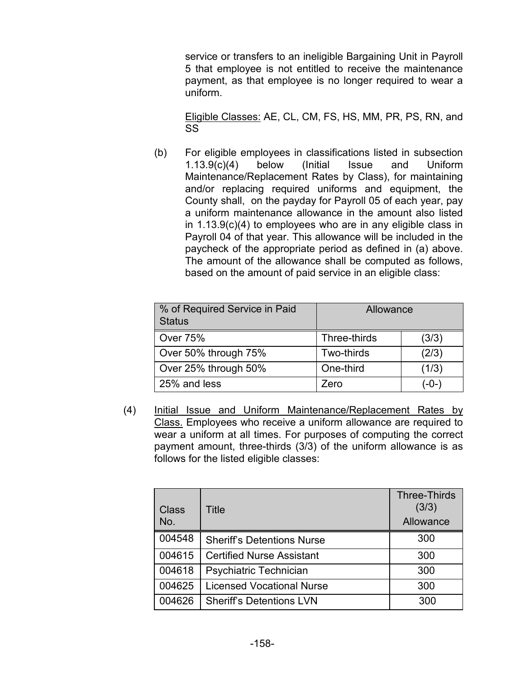service or transfers to an ineligible Bargaining Unit in Payroll 5 that employee is not entitled to receive the maintenance payment, as that employee is no longer required to wear a uniform.

Eligible Classes: AE, CL, CM, FS, HS, MM, PR, PS, RN, and SS

(b) For eligible employees in classifications listed in subsection 1.13.9(c)(4) below (Initial Issue and Uniform Maintenance/Replacement Rates by Class), for maintaining and/or replacing required uniforms and equipment, the County shall, on the payday for Payroll 05 of each year, pay a uniform maintenance allowance in the amount also listed in 1.13.9(c)(4) to employees who are in any eligible class in Payroll 04 of that year. This allowance will be included in the paycheck of the appropriate period as defined in (a) above. The amount of the allowance shall be computed as follows, based on the amount of paid service in an eligible class:

| % of Required Service in Paid<br><b>Status</b> | Allowance    |       |
|------------------------------------------------|--------------|-------|
| <b>Over 75%</b>                                | Three-thirds | (3/3) |
| Over 50% through 75%                           | Two-thirds   | (2/3) |
| Over 25% through 50%                           | One-third    | (1/3) |
| 25% and less                                   | Zero         | (-0-) |

(4) Initial Issue and Uniform Maintenance/Replacement Rates by Class. Employees who receive a uniform allowance are required to wear a uniform at all times. For purposes of computing the correct payment amount, three-thirds (3/3) of the uniform allowance is as follows for the listed eligible classes:

| Class<br>No. | Title                             | <b>Three-Thirds</b><br>(3/3)<br>Allowance |
|--------------|-----------------------------------|-------------------------------------------|
| 004548       | <b>Sheriff's Detentions Nurse</b> | 300                                       |
| 004615       | <b>Certified Nurse Assistant</b>  | 300                                       |
| 004618       | Psychiatric Technician            | 300                                       |
| 004625       | <b>Licensed Vocational Nurse</b>  | 300                                       |
| 004626       | <b>Sheriff's Detentions LVN</b>   | 300                                       |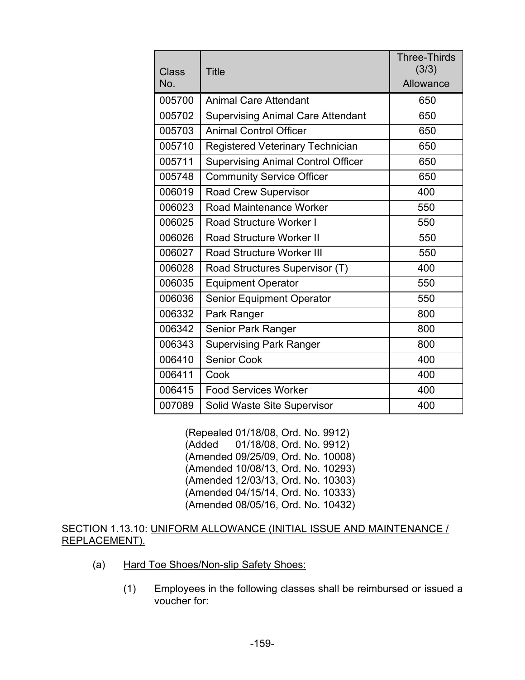| <b>Class</b><br>No. | <b>Title</b>                              | <b>Three-Thirds</b><br>(3/3)<br>Allowance |
|---------------------|-------------------------------------------|-------------------------------------------|
| 005700              | <b>Animal Care Attendant</b>              | 650                                       |
| 005702              | <b>Supervising Animal Care Attendant</b>  | 650                                       |
| 005703              | <b>Animal Control Officer</b>             | 650                                       |
| 005710              | <b>Registered Veterinary Technician</b>   | 650                                       |
| 005711              | <b>Supervising Animal Control Officer</b> | 650                                       |
| 005748              | <b>Community Service Officer</b>          | 650                                       |
| 006019              | <b>Road Crew Supervisor</b>               | 400                                       |
| 006023              | Road Maintenance Worker                   | 550                                       |
| 006025              | <b>Road Structure Worker I</b>            | 550                                       |
| 006026              | <b>Road Structure Worker II</b>           | 550                                       |
| 006027              | <b>Road Structure Worker III</b>          | 550                                       |
| 006028              | Road Structures Supervisor (T)            | 400                                       |
| 006035              | <b>Equipment Operator</b>                 | 550                                       |
| 006036              | <b>Senior Equipment Operator</b>          | 550                                       |
| 006332              | Park Ranger                               | 800                                       |
| 006342              | Senior Park Ranger                        | 800                                       |
| 006343              | <b>Supervising Park Ranger</b>            | 800                                       |
| 006410              | <b>Senior Cook</b>                        | 400                                       |
| 006411              | Cook                                      | 400                                       |
| 006415              | <b>Food Services Worker</b>               | 400                                       |
| 007089              | <b>Solid Waste Site Supervisor</b>        | 400                                       |

(Repealed 01/18/08, Ord. No. 9912) 01/18/08, Ord. No. 9912) (Amended 09/25/09, Ord. No. 10008) (Amended 10/08/13, Ord. No. 10293) (Amended 12/03/13, Ord. No. 10303) (Amended 04/15/14, Ord. No. 10333) (Amended 08/05/16, Ord. No. 10432)

#### SECTION 1.13.10: UNIFORM ALLOWANCE (INITIAL ISSUE AND MAINTENANCE / REPLACEMENT).

- (a) Hard Toe Shoes/Non-slip Safety Shoes:
	- (1) Employees in the following classes shall be reimbursed or issued a voucher for: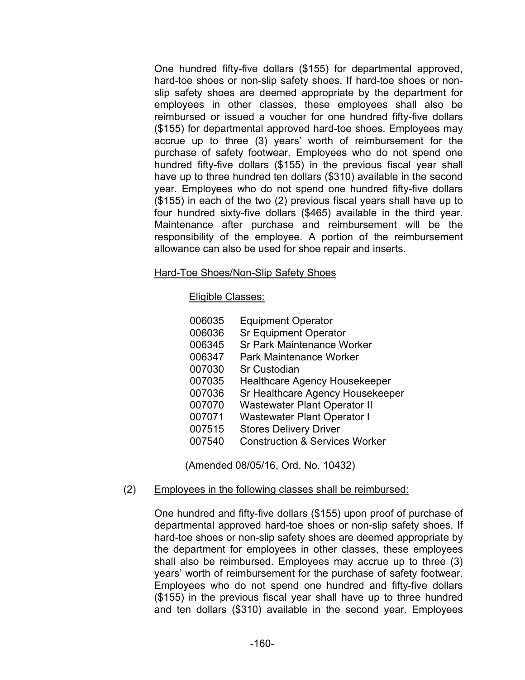One hundred fifty-five dollars (\$155) for departmental approved, hard-toe shoes or non-slip safety shoes. If hard-toe shoes or nonslip safety shoes are deemed appropriate by the department for employees in other classes, these employees shall also be reimbursed or issued a voucher for one hundred fifty-five dollars (\$155) for departmental approved hard-toe shoes. Employees may accrue up to three (3) years' worth of reimbursement for the purchase of safety footwear. Employees who do not spend one hundred fifty-five dollars (\$155) in the previous fiscal year shall have up to three hundred ten dollars (\$310) available in the second year. Employees who do not spend one hundred fifty-five dollars (\$155) in each of the two (2) previous fiscal years shall have up to four hundred sixty-five dollars (\$465) available in the third year. Maintenance after purchase and reimbursement will be the responsibility of the employee. A portion of the reimbursement allowance can also be used for shoe repair and inserts.

#### Hard-Toe Shoes/Non-Slip Safety Shoes

### Eligible Classes:

| 006035 | <b>Equipment Operator</b>                 |
|--------|-------------------------------------------|
| 006036 | <b>Sr Equipment Operator</b>              |
| 006345 | <b>Sr Park Maintenance Worker</b>         |
| 006347 | <b>Park Maintenance Worker</b>            |
| 007030 | <b>Sr Custodian</b>                       |
| 007035 | <b>Healthcare Agency Housekeeper</b>      |
| 007036 | Sr Healthcare Agency Housekeeper          |
| 007070 | <b>Wastewater Plant Operator II</b>       |
| 007071 | <b>Wastewater Plant Operator I</b>        |
| 007515 | <b>Stores Delivery Driver</b>             |
| 007540 | <b>Construction &amp; Services Worker</b> |

(Amended 08/05/16, Ord. No. 10432)

# (2) Employees in the following classes shall be reimbursed:

One hundred and fifty-five dollars (\$155) upon proof of purchase of departmental approved hard-toe shoes or non-slip safety shoes. If hard-toe shoes or non-slip safety shoes are deemed appropriate by the department for employees in other classes, these employees shall also be reimbursed. Employees may accrue up to three (3) years' worth of reimbursement for the purchase of safety footwear. Employees who do not spend one hundred and fifty-five dollars (\$155) in the previous fiscal year shall have up to three hundred and ten dollars (\$310) available in the second year. Employees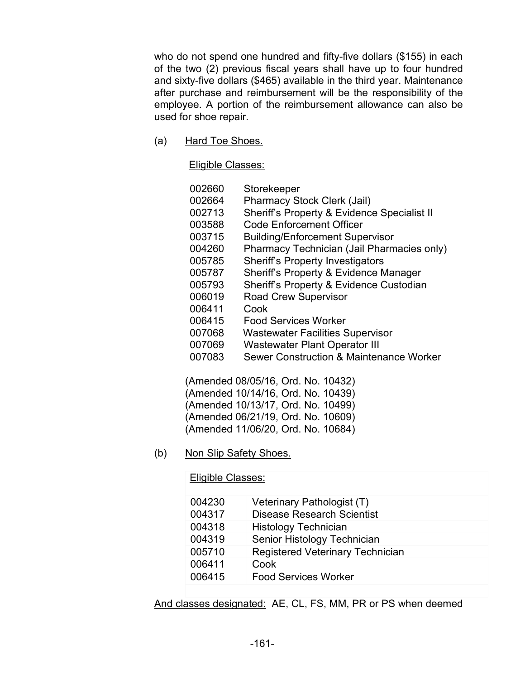who do not spend one hundred and fifty-five dollars (\$155) in each of the two (2) previous fiscal years shall have up to four hundred and sixty-five dollars (\$465) available in the third year. Maintenance after purchase and reimbursement will be the responsibility of the employee. A portion of the reimbursement allowance can also be used for shoe repair.

(a) Hard Toe Shoes.

Eligible Classes:

| 002660 | Storekeeper                                        |
|--------|----------------------------------------------------|
| 002664 | <b>Pharmacy Stock Clerk (Jail)</b>                 |
| 002713 | Sheriff's Property & Evidence Specialist II        |
| 003588 | <b>Code Enforcement Officer</b>                    |
| 003715 | <b>Building/Enforcement Supervisor</b>             |
| 004260 | Pharmacy Technician (Jail Pharmacies only)         |
| 005785 | <b>Sheriff's Property Investigators</b>            |
| 005787 | Sheriff's Property & Evidence Manager              |
| 005793 | Sheriff's Property & Evidence Custodian            |
| 006019 | <b>Road Crew Supervisor</b>                        |
| 006411 | Cook                                               |
| 006415 | Food Services Worker                               |
| 007068 | <b>Wastewater Facilities Supervisor</b>            |
| 007069 | <b>Wastewater Plant Operator III</b>               |
| 007083 | <b>Sewer Construction &amp; Maintenance Worker</b> |

(Amended 08/05/16, Ord. No. 10432) (Amended 10/14/16, Ord. No. 10439) (Amended 10/13/17, Ord. No. 10499) (Amended 06/21/19, Ord. No. 10609) (Amended 11/06/20, Ord. No. 10684)

(b) Non Slip Safety Shoes.

Eligible Classes:

| 004230 | Veterinary Pathologist (T)              |
|--------|-----------------------------------------|
| 004317 | Disease Research Scientist              |
| 004318 | <b>Histology Technician</b>             |
| 004319 | Senior Histology Technician             |
| 005710 | <b>Registered Veterinary Technician</b> |
| 006411 | Cook                                    |
| 006415 | <b>Food Services Worker</b>             |
|        |                                         |

And classes designated: AE, CL, FS, MM, PR or PS when deemed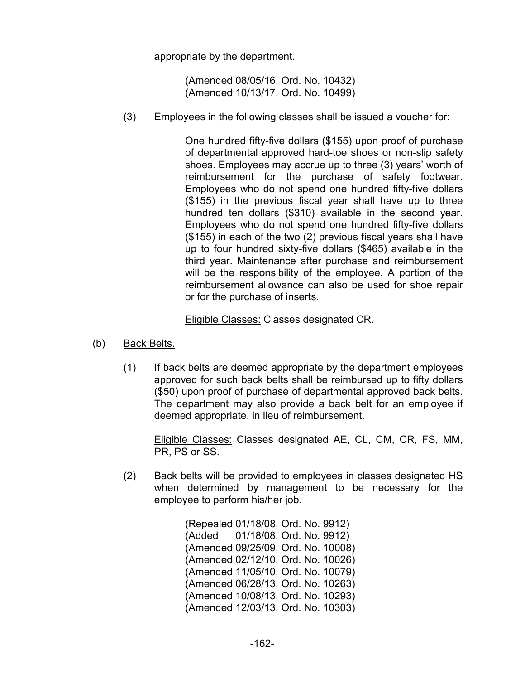appropriate by the department.

(Amended 08/05/16, Ord. No. 10432) (Amended 10/13/17, Ord. No. 10499)

(3) Employees in the following classes shall be issued a voucher for:

One hundred fifty-five dollars (\$155) upon proof of purchase of departmental approved hard-toe shoes or non-slip safety shoes. Employees may accrue up to three (3) years' worth of reimbursement for the purchase of safety footwear. Employees who do not spend one hundred fifty-five dollars (\$155) in the previous fiscal year shall have up to three hundred ten dollars (\$310) available in the second year. Employees who do not spend one hundred fifty-five dollars (\$155) in each of the two (2) previous fiscal years shall have up to four hundred sixty-five dollars (\$465) available in the third year. Maintenance after purchase and reimbursement will be the responsibility of the employee. A portion of the reimbursement allowance can also be used for shoe repair or for the purchase of inserts.

Eligible Classes: Classes designated CR.

- (b) Back Belts.
	- (1) If back belts are deemed appropriate by the department employees approved for such back belts shall be reimbursed up to fifty dollars (\$50) upon proof of purchase of departmental approved back belts. The department may also provide a back belt for an employee if deemed appropriate, in lieu of reimbursement.

Eligible Classes: Classes designated AE, CL, CM, CR, FS, MM, PR, PS or SS.

(2) Back belts will be provided to employees in classes designated HS when determined by management to be necessary for the employee to perform his/her job.

> (Repealed 01/18/08, Ord. No. 9912) (Added 01/18/08, Ord. No. 9912) (Amended 09/25/09, Ord. No. 10008) (Amended 02/12/10, Ord. No. 10026) (Amended 11/05/10, Ord. No. 10079) (Amended 06/28/13, Ord. No. 10263) (Amended 10/08/13, Ord. No. 10293) (Amended 12/03/13, Ord. No. 10303)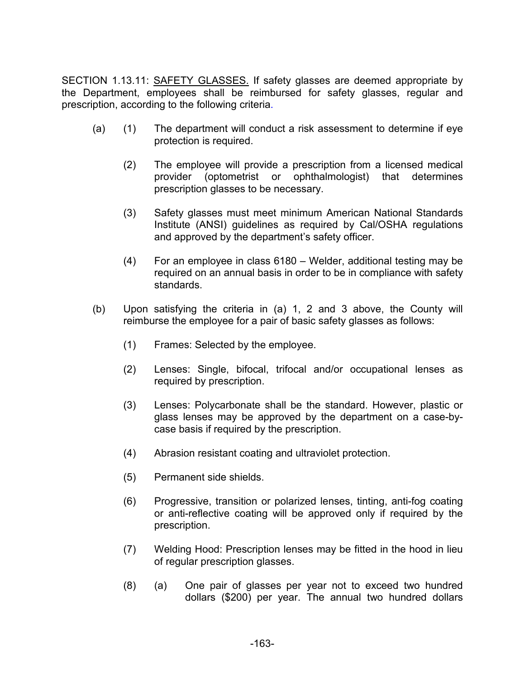SECTION 1.13.11: SAFETY GLASSES. If safety glasses are deemed appropriate by the Department, employees shall be reimbursed for safety glasses, regular and prescription, according to the following criteria.

- (a) (1) The department will conduct a risk assessment to determine if eye protection is required.
	- (2) The employee will provide a prescription from a licensed medical provider (optometrist or ophthalmologist) that determines prescription glasses to be necessary.
	- (3) Safety glasses must meet minimum American National Standards Institute (ANSI) guidelines as required by Cal/OSHA regulations and approved by the department's safety officer.
	- (4) For an employee in class 6180 Welder, additional testing may be required on an annual basis in order to be in compliance with safety standards.
- (b) Upon satisfying the criteria in (a) 1, 2 and 3 above, the County will reimburse the employee for a pair of basic safety glasses as follows:
	- (1) Frames: Selected by the employee.
	- (2) Lenses: Single, bifocal, trifocal and/or occupational lenses as required by prescription.
	- (3) Lenses: Polycarbonate shall be the standard. However, plastic or glass lenses may be approved by the department on a case-bycase basis if required by the prescription.
	- (4) Abrasion resistant coating and ultraviolet protection.
	- (5) Permanent side shields.
	- (6) Progressive, transition or polarized lenses, tinting, anti-fog coating or anti-reflective coating will be approved only if required by the prescription.
	- (7) Welding Hood: Prescription lenses may be fitted in the hood in lieu of regular prescription glasses.
	- (8) (a) One pair of glasses per year not to exceed two hundred dollars (\$200) per year. The annual two hundred dollars